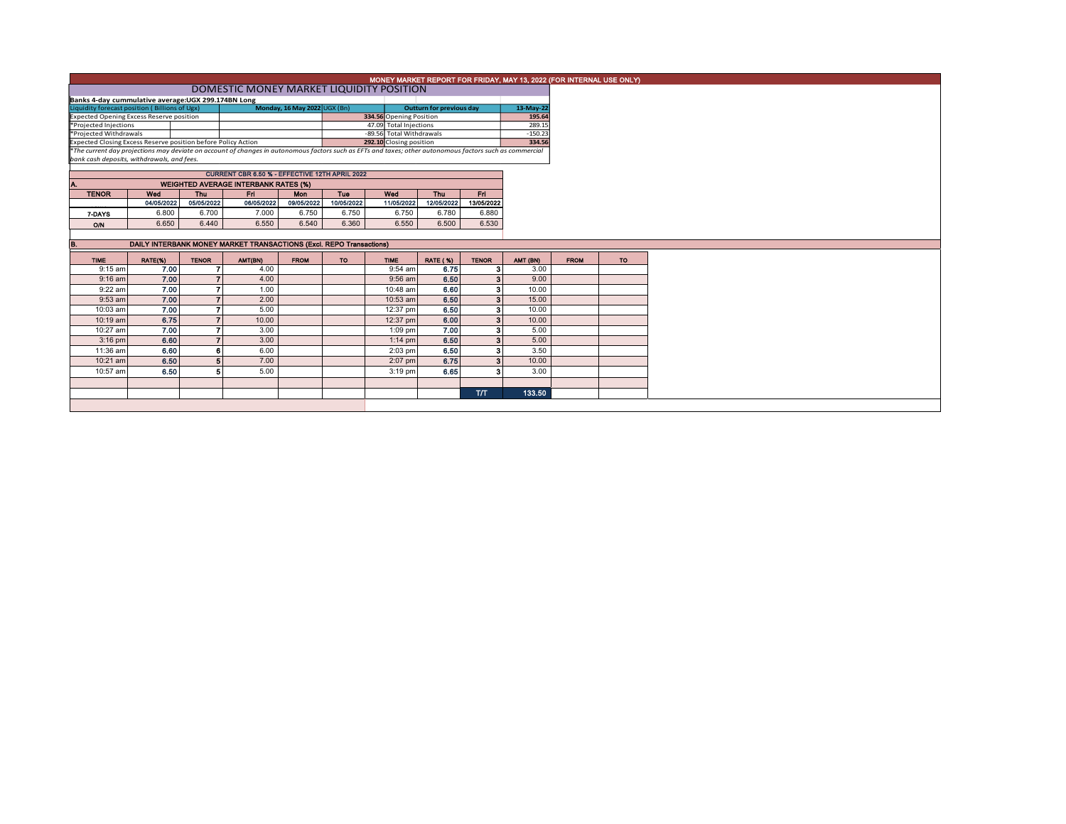|                                                                                                                                                          | MONEY MARKET REPORT FOR FRIDAY, MAY 13, 2022 (FOR INTERNAL USE ONLY) |                          |                                                |                         |            |                                                    |                          |                   |                  |  |             |  |  |
|----------------------------------------------------------------------------------------------------------------------------------------------------------|----------------------------------------------------------------------|--------------------------|------------------------------------------------|-------------------------|------------|----------------------------------------------------|--------------------------|-------------------|------------------|--|-------------|--|--|
| DOMESTIC MONEY MARKET LIQUIDITY POSITION                                                                                                                 |                                                                      |                          |                                                |                         |            |                                                    |                          |                   |                  |  |             |  |  |
| Banks 4-day cummulative average: UGX 299.174BN Long                                                                                                      |                                                                      |                          |                                                |                         |            |                                                    |                          |                   |                  |  |             |  |  |
| Monday, 16 May 2022 UGX (Bn)<br>Liquidity forecast position (Billions of Ugx)                                                                            |                                                                      |                          |                                                |                         |            |                                                    | Outturn for previous day |                   | 13-May-22        |  |             |  |  |
| <b>Expected Opening Excess Reserve position</b>                                                                                                          |                                                                      |                          |                                                |                         |            |                                                    | 334.56 Opening Position  |                   | 195.64<br>289.15 |  |             |  |  |
| *Projected Injections<br>*Projected Withdrawals                                                                                                          |                                                                      |                          |                                                |                         |            | 47.09 Total Injections<br>-89.56 Total Withdrawals |                          |                   |                  |  |             |  |  |
| Expected Closing Excess Reserve position before Policy Action                                                                                            |                                                                      |                          |                                                | 292.10 Closing position |            |                                                    | $-150.23$<br>334.56      |                   |                  |  |             |  |  |
| *The current day projections may deviate on account of changes in autonomous factors such as EFTs and taxes; other autonomous factors such as commercial |                                                                      |                          |                                                |                         |            |                                                    |                          |                   |                  |  |             |  |  |
| bank cash deposits, withdrawals, and fees.                                                                                                               |                                                                      |                          |                                                |                         |            |                                                    |                          |                   |                  |  |             |  |  |
|                                                                                                                                                          |                                                                      |                          | CURRENT CBR 6.50 % - EFFECTIVE 12TH APRIL 2022 |                         |            |                                                    |                          |                   |                  |  |             |  |  |
| Α.                                                                                                                                                       |                                                                      |                          | <b>WEIGHTED AVERAGE INTERBANK RATES (%)</b>    |                         |            |                                                    |                          |                   |                  |  |             |  |  |
| <b>TENOR</b>                                                                                                                                             | Wed                                                                  | Thu                      | Fri.                                           | <b>Mon</b>              | Tue        | Wed                                                | Thu                      | Fri.              |                  |  |             |  |  |
|                                                                                                                                                          | 04/05/2022                                                           | 05/05/2022               | 06/05/2022                                     | 09/05/2022              | 10/05/2022 | 11/05/2022                                         | 12/05/2022               | 13/05/2022        |                  |  |             |  |  |
| 7-DAYS                                                                                                                                                   | 6.800                                                                | 6.700                    | 7.000                                          | 6.750                   | 6.750      | 6.750                                              | 6.780                    | 6.880             |                  |  |             |  |  |
| O/N                                                                                                                                                      | 6.650                                                                | 6.440                    | 6.550                                          | 6.540                   | 6.360      | 6.550                                              | 6.500                    | 6.530             |                  |  |             |  |  |
|                                                                                                                                                          |                                                                      |                          |                                                |                         |            |                                                    |                          |                   |                  |  |             |  |  |
| DAILY INTERBANK MONEY MARKET TRANSACTIONS (Excl. REPO Transactions)                                                                                      |                                                                      |                          |                                                |                         |            |                                                    |                          |                   |                  |  |             |  |  |
|                                                                                                                                                          |                                                                      |                          |                                                |                         |            |                                                    |                          |                   |                  |  |             |  |  |
| В.                                                                                                                                                       |                                                                      |                          |                                                |                         |            |                                                    |                          |                   |                  |  |             |  |  |
| <b>TIME</b>                                                                                                                                              | RATE(%)                                                              | <b>TENOR</b>             | AMT(BN)                                        | <b>FROM</b>             | <b>TO</b>  | <b>TIME</b>                                        | <b>RATE (%)</b>          | <b>TENOR</b>      | AMT (BN)         |  | <b>FROM</b> |  |  |
| $9:15$ am                                                                                                                                                | 7.00                                                                 |                          | 4.00                                           |                         |            | $9:54$ am                                          | 6.75                     | з                 | 3.00             |  |             |  |  |
| $9:16$ am                                                                                                                                                | 7.00                                                                 | $\overline{ }$           | 4.00                                           |                         |            | $9:56$ am                                          | 6.50                     | 3 <sup>1</sup>    | 9.00             |  |             |  |  |
| $9:22$ am                                                                                                                                                | 7.00                                                                 | 7                        | 1.00                                           |                         |            | 10:48 am                                           | 6.60                     | 3                 | 10.00            |  |             |  |  |
| 9:53 am                                                                                                                                                  | 7.00                                                                 |                          | 2.00                                           |                         |            | 10:53 am                                           | 6.50                     | $\mathbf{\Omega}$ | 15.00            |  |             |  |  |
| 10:03 am                                                                                                                                                 | 7.00                                                                 | $\overline{\phantom{a}}$ | 5.00                                           |                         |            | 12:37 pm                                           | 6.50                     | я                 | 10.00            |  |             |  |  |
| 10:19 am                                                                                                                                                 | 6.75                                                                 | $\overline{z}$           | 10.00                                          |                         |            | 12:37 pm                                           | 6.00                     | я                 | 10.00            |  |             |  |  |
| 10:27 am                                                                                                                                                 | 7.00                                                                 | 7                        | 3.00                                           |                         |            | $1:09$ pm                                          | 7.00                     | з                 | 5.00             |  |             |  |  |
| $3:16$ pm                                                                                                                                                | 6.60                                                                 | $\overline{\phantom{a}}$ | 3.00                                           |                         |            | $1:14$ pm                                          | 6.50                     |                   | 5.00             |  |             |  |  |
| 11:36 am                                                                                                                                                 | 6.60                                                                 | 6                        | 6.00                                           |                         |            | $2:03$ pm                                          | 6.50                     | 3                 | 3.50             |  |             |  |  |
| 10:21 am                                                                                                                                                 | 6.50                                                                 | 5                        | 7.00                                           |                         |            | 2:07 pm                                            | 6.75                     | 3                 | 10.00            |  |             |  |  |
|                                                                                                                                                          |                                                                      | Б                        |                                                |                         |            |                                                    |                          |                   |                  |  |             |  |  |
| 10:57 am                                                                                                                                                 | 6.50                                                                 |                          | 5.00                                           |                         |            | $3:19$ pm                                          | 6.65                     |                   | 3.00             |  |             |  |  |
|                                                                                                                                                          |                                                                      |                          |                                                |                         |            |                                                    |                          | <b>T/T</b>        | 133.50           |  |             |  |  |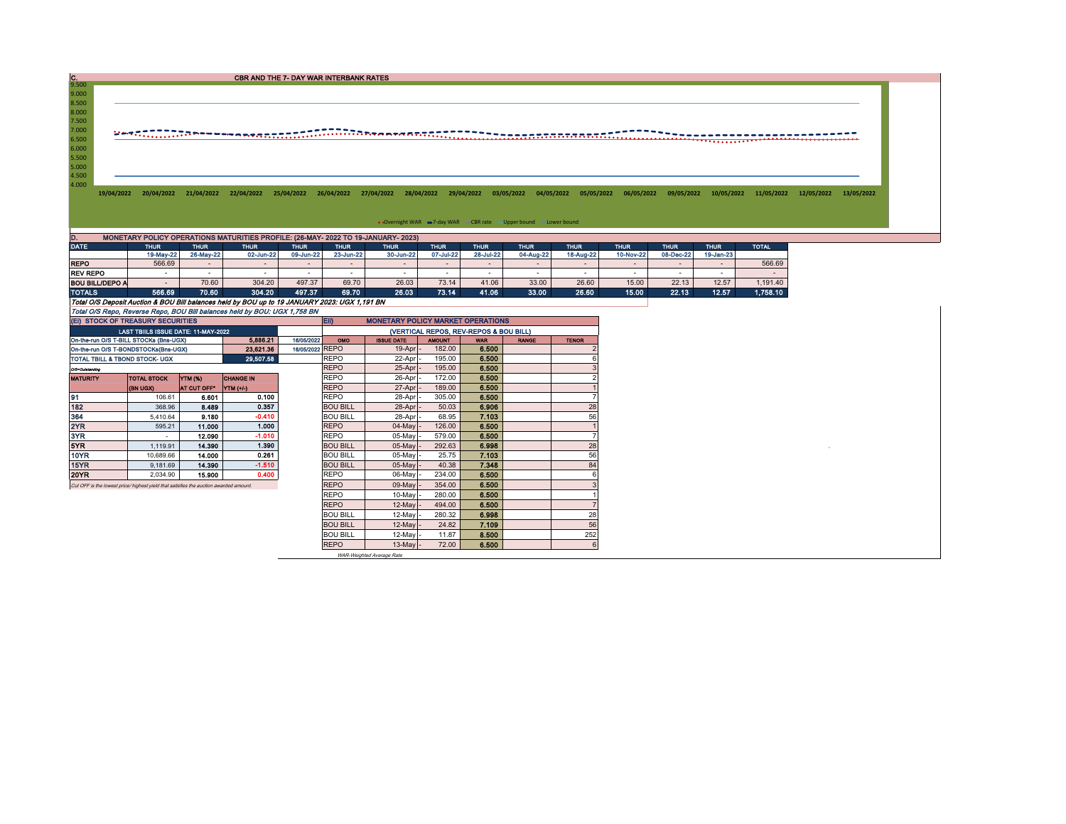| CBR AND THE 7- DAY WAR INTERBANK RATES |
|----------------------------------------|
|                                        |

9.500<br>
8.500<br>
8.000<br>
7.500<br>
7.000<br>
6.500<br>
5.500<br>
5.500<br>
4.500<br>
4.500

19/04/2022 20/04/2022 21/04/2022 22/04/2022 25/04/2022 26/04/2022 27/04/2022 28/04/2022 29/04/2022 03/05/2022 04/05/2020 05/05/2022 05/05/2022 09/05/2022 10/05/2022 11/05/2022 12/05/2022 13/05/2022 13/05/2022 13/05/2022 13/

• Overnight WAR -7-day WAR - CBR rate - Upper bound -Lower bound

| D.                                                                        | MONETARY POLICY OPERATIONS MATURITIES PROFILE: (26-MAY- 2022 TO 19-JANUARY- 2023)             |             |             |             |                   |             |             |             |             |             |             |             |              |              |  |
|---------------------------------------------------------------------------|-----------------------------------------------------------------------------------------------|-------------|-------------|-------------|-------------------|-------------|-------------|-------------|-------------|-------------|-------------|-------------|--------------|--------------|--|
| <b>DATE</b>                                                               | <b>THUR</b>                                                                                   | <b>THUR</b> | <b>THUR</b> | <b>THUR</b> | THUR <sup>1</sup> | <b>THUR</b> | <b>THUR</b> | <b>THUR</b> | <b>THUR</b> | <b>THUR</b> | <b>THUR</b> | <b>THUR</b> | <b>THUR</b>  | <b>TOTAL</b> |  |
|                                                                           | 19-May-22                                                                                     | 26-May-22   | 02-Jun-22   | 09-Jun-22   | 23-Jun-22         | 30-Jun-22   | 07-Jul-22   | 28-Jul-22   | 04-Aug-22   | 18-Aug-22   | 10-Nov-22   | 08-Dec-22   | $19$ -Jan-23 |              |  |
| <b>REPO</b>                                                               | 566.69                                                                                        | $\sim$      | -           |             |                   |             |             |             |             |             |             |             |              | 566.69       |  |
| <b>REV REPO</b>                                                           |                                                                                               |             |             |             |                   |             |             |             |             |             |             |             |              |              |  |
| <b>BOU BILL/DEPO A</b>                                                    |                                                                                               | 70.60       | 304.20      | 497.37      | 69.70             | 26.03       | 73.14       | 41.06       | 33.00       | 26.60       | 15.00       | 22.13       | 12.57        | 1,191.40     |  |
| <b>TOTALS</b>                                                             | 566,69                                                                                        | 70.60       | 304.20      | 497.37      | 69.70             | 26.03       | 73.14       | 41.06       | 33.00       | 26.60       | 15.00       | 22.13       | 12.57        | 1.758.10     |  |
|                                                                           | Total O/S Deposit Auction & BOU Bill balances held by BOU up to 19 JANUARY 2023: UGX 1.191 BN |             |             |             |                   |             |             |             |             |             |             |             |              |              |  |
| Total O/S Repo, Reverse Repo, BOU Bill balances held by BOU: UGX 1,758 BN |                                                                                               |             |             |             |                   |             |             |             |             |             |             |             |              |              |  |

| (EI) STOCK OF TREASURY SECURITIES                                                     |                          | <b>EID</b><br><b>MONETARY POLICY MARKET OPERATIONS</b> |                  |                 |                 |                                        |               |            |              |              |  |  |  |
|---------------------------------------------------------------------------------------|--------------------------|--------------------------------------------------------|------------------|-----------------|-----------------|----------------------------------------|---------------|------------|--------------|--------------|--|--|--|
| <b>LAST TBIILS ISSUE DATE: 11-MAY-2022</b>                                            |                          |                                                        |                  |                 |                 | (VERTICAL REPOS, REV-REPOS & BOU BILL) |               |            |              |              |  |  |  |
| On-the-run O/S T-BILL STOCKs (Bns-UGX)                                                |                          |                                                        | 5.886.21         | 16/05/2022      | <b>OMO</b>      | <b>ISSUE DATE</b>                      | <b>AMOUNT</b> | <b>WAR</b> | <b>RANGE</b> | <b>TENOR</b> |  |  |  |
| On-the-run O/S T-BONDSTOCKs(Bns-UGX)                                                  |                          |                                                        | 23.621.36        | 16/05/2022 REPO |                 | $19-Apr$ -                             | 182.00        | 6.500      |              |              |  |  |  |
| 29,507.58<br>TOTAL TBILL & TBOND STOCK- UGX                                           |                          |                                                        |                  |                 | <b>REPO</b>     | 22-Apr                                 | 195.00        | 6.500      |              |              |  |  |  |
| O/S=Outstanding                                                                       |                          |                                                        |                  |                 | <b>REPO</b>     | 25-Apr                                 | 195.00        | 6.500      |              |              |  |  |  |
| <b>MATURITY</b>                                                                       | <b>TOTAL STOCK</b>       | YTM (%)                                                | <b>CHANGE IN</b> |                 | <b>REPO</b>     | 26-Apr                                 | 172.00        | 6.500      |              |              |  |  |  |
|                                                                                       | <b>(BN UGX)</b>          | AT CUT OFF"                                            | <b>YTM (+/-)</b> |                 | <b>REPO</b>     | 27-Apr -                               | 189.00        | 6.500      |              |              |  |  |  |
| 91                                                                                    | 106.61                   | 6.601                                                  | 0.100            |                 | <b>REPO</b>     | 28-Apr                                 | 305.00        | 6.500      |              |              |  |  |  |
| 182                                                                                   | 368.96                   | 8.489                                                  | 0.357            |                 | <b>BOU BILL</b> | 28-Apr                                 | 50.03         | 6.906      |              | 28           |  |  |  |
| 364                                                                                   | 5.410.64                 | 9.180                                                  | $-0.410$         |                 | <b>BOU BILL</b> | 28-Apr                                 | 68.95         | 7.103      |              | 56           |  |  |  |
| 2YR                                                                                   | 595.21                   | 11.000                                                 | 1.000            |                 | <b>REPO</b>     | $04$ -May                              | 126.00        | 6.500      |              |              |  |  |  |
| 3YR                                                                                   | $\overline{\phantom{a}}$ | 12.090                                                 | $-1.010$         |                 | <b>REPO</b>     | $05$ -May                              | 579.00        | 6,500      |              |              |  |  |  |
| 5YR                                                                                   | 1,119.91                 | 14,390                                                 | 1.390            |                 | <b>BOU BILL</b> | $05$ -May                              | 292.63        | 6.998      |              | 28           |  |  |  |
| 10YR                                                                                  | 10,689.66                | 14.000                                                 | 0.261            |                 | <b>BOU BILL</b> | $05$ -May                              | 25.75         | 7.103      |              | 56           |  |  |  |
| 15YR                                                                                  | 9.181.69                 | 14.390                                                 | $-1.510$         |                 | <b>BOU BILL</b> | $05$ -May                              | 40.38         | 7.348      |              | 84           |  |  |  |
| 20YR                                                                                  | 2.034.90                 | 15,900                                                 | 0.400            |                 | <b>REPO</b>     | $06$ -May                              | 234.00        | 6.500      |              |              |  |  |  |
| Cut OFF is the lowest price/ highest yield that satisfies the auction awarded amount. |                          |                                                        |                  |                 | <b>REPO</b>     | 09-May                                 | 354.00        | 6.500      |              |              |  |  |  |
|                                                                                       |                          |                                                        |                  |                 | <b>REPO</b>     | $10-May$                               | 280.00        | 6.500      |              |              |  |  |  |
|                                                                                       |                          |                                                        | <b>REPO</b>      | $12$ -May       | 494.00          | 6.500                                  |               |            |              |              |  |  |  |
|                                                                                       |                          |                                                        |                  |                 | <b>BOU BILL</b> | $12-May$                               | 280.32        | 6.998      |              | 28           |  |  |  |
|                                                                                       |                          |                                                        |                  |                 | <b>BOU BILL</b> | $12$ -May                              | 24.82         | 7.109      |              | 56           |  |  |  |
|                                                                                       |                          |                                                        |                  |                 | <b>BOU BILL</b> | $12-May$                               | 11.87         | 8.500      |              | 252          |  |  |  |
|                                                                                       |                          |                                                        |                  |                 | <b>REPO</b>     | $13$ -May $-$                          | 72.00         | 6.500      |              |              |  |  |  |

WAR-Weighted Average Rate